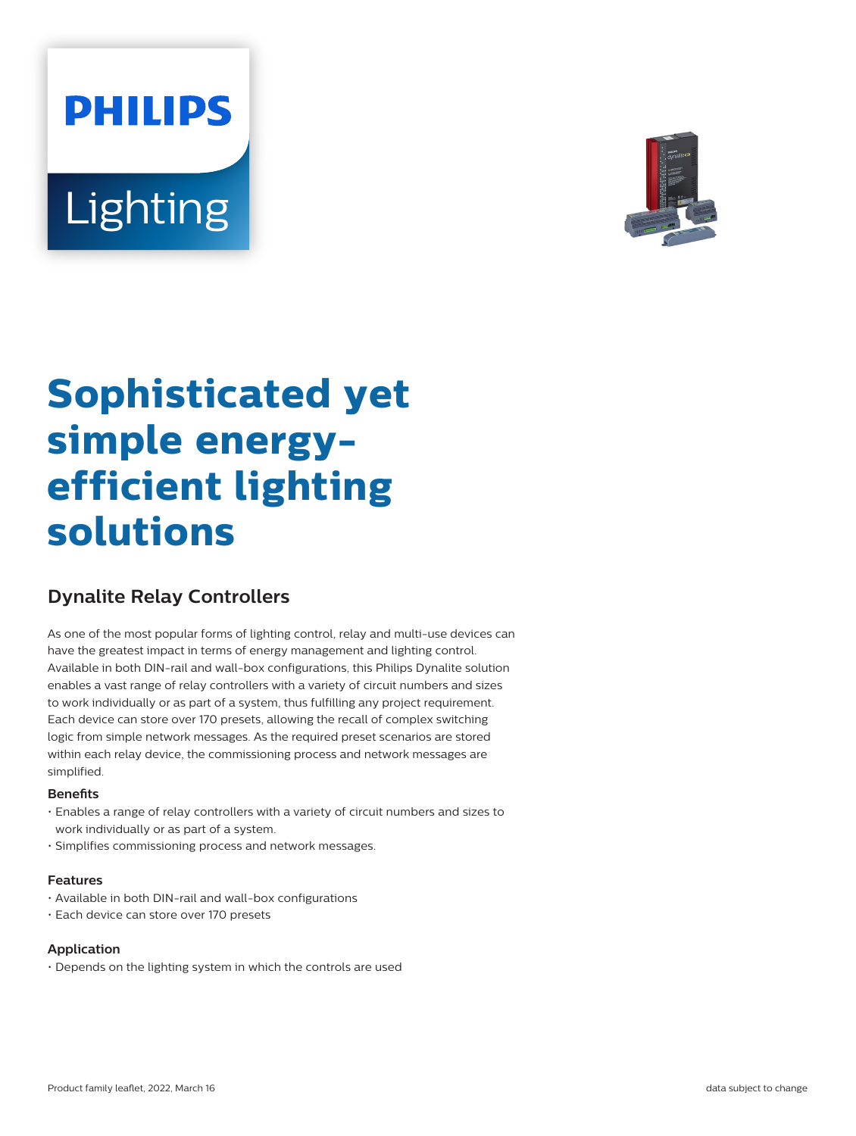# **PHILIPS** Lighting



# **Sophisticated yet simple energyefficient lighting solutions**

# **Dynalite Relay Controllers**

As one of the most popular forms of lighting control, relay and multi-use devices can have the greatest impact in terms of energy management and lighting control. Available in both DIN-rail and wall-box configurations, this Philips Dynalite solution enables a vast range of relay controllers with a variety of circuit numbers and sizes to work individually or as part of a system, thus fulfilling any project requirement. Each device can store over 170 presets, allowing the recall of complex switching logic from simple network messages. As the required preset scenarios are stored within each relay device, the commissioning process and network messages are simplified.

#### **Benets**

- Enables a range of relay controllers with a variety of circuit numbers and sizes to work individually or as part of a system.
- Simplifies commissioning process and network messages.

#### **Features**

- Available in both DIN-rail and wall-box configurations
- Each device can store over 170 presets

#### **Application**

• Depends on the lighting system in which the controls are used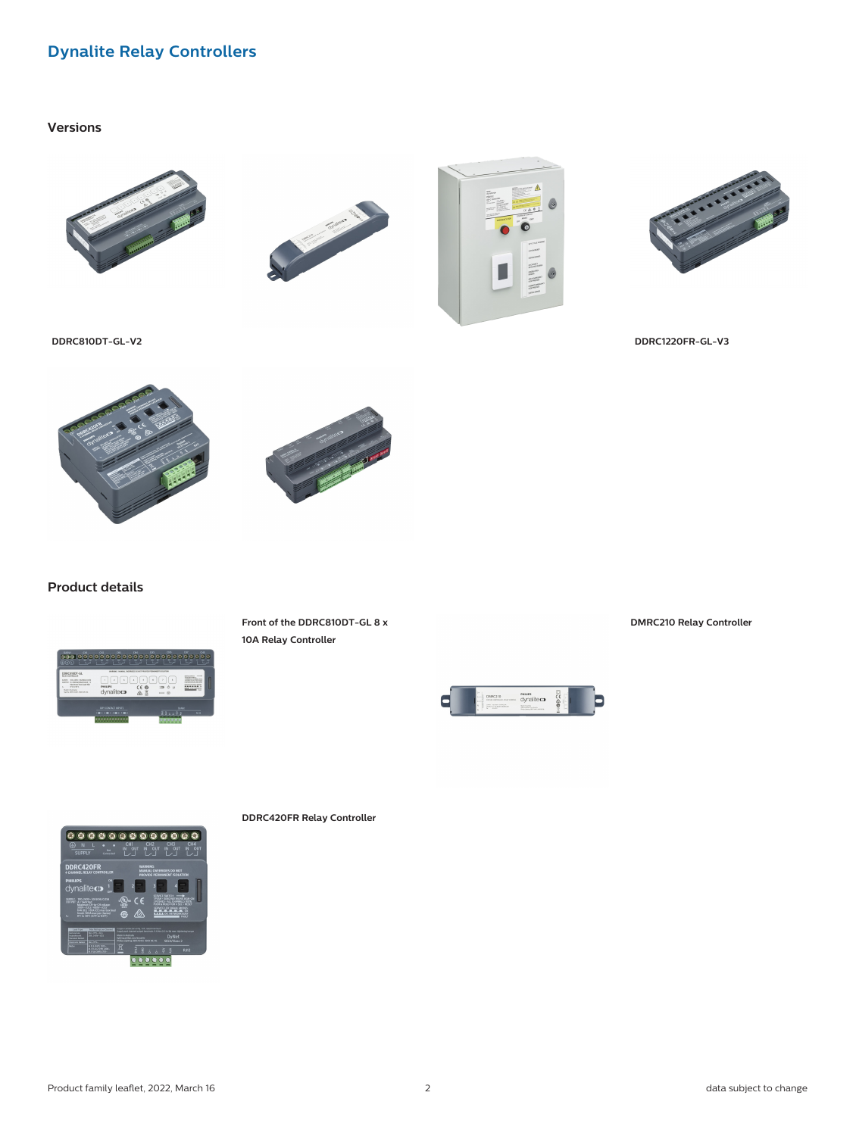## **Dynalite Relay Controllers**

#### **Versions**









**DDRC810DT-GL-V2 DDRC1220FR-GL-V3**





**Product details**



**Front of the DDRC810DT-GL 8 x 10A Relay Controller**

**DMRC210 Relay Controller**



0000000000000 DDRC420FR .<br>alite**ca** ......

**DDRC420FR Relay Controller**

Product family leaflet, 2022, March 16 2 and 2 data subject to change